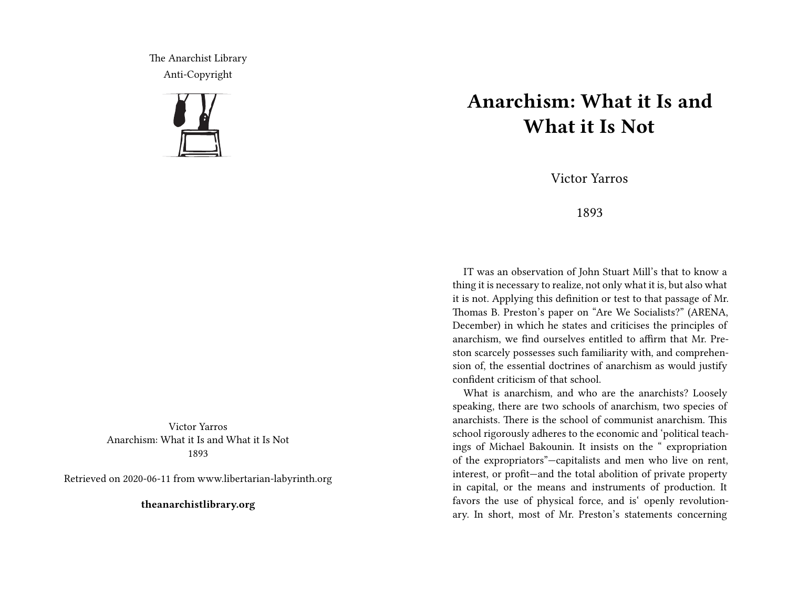The Anarchist Library Anti-Copyright



Victor Yarros Anarchism: What it Is and What it Is Not 1893

Retrieved on 2020-06-11 from www.libertarian-labyrinth.org

**theanarchistlibrary.org**

## **Anarchism: What it Is and What it Is Not**

Victor Yarros

## 1893

IT was an observation of John Stuart Mill's that to know a thing it is necessary to realize, not only what it is, but also what it is not. Applying this definition or test to that passage of Mr. Thomas B. Preston's paper on "Are We Socialists?" (ARENA, December) in which he states and criticises the principles of anarchism, we find ourselves entitled to affirm that Mr. Preston scarcely possesses such familiarity with, and comprehension of, the essential doctrines of anarchism as would justify confident criticism of that school.

What is anarchism, and who are the anarchists? Loosely speaking, there are two schools of anarchism, two species of anarchists. There is the school of communist anarchism. This school rigorously adheres to the economic and 'political teachings of Michael Bakounin. It insists on the " expropriation of the expropriators"—capitalists and men who live on rent, interest, or profit—and the total abolition of private property in capital, or the means and instruments of production. It favors the use of physical force, and is' openly revolutionary. In short, most of Mr. Preston's statements concerning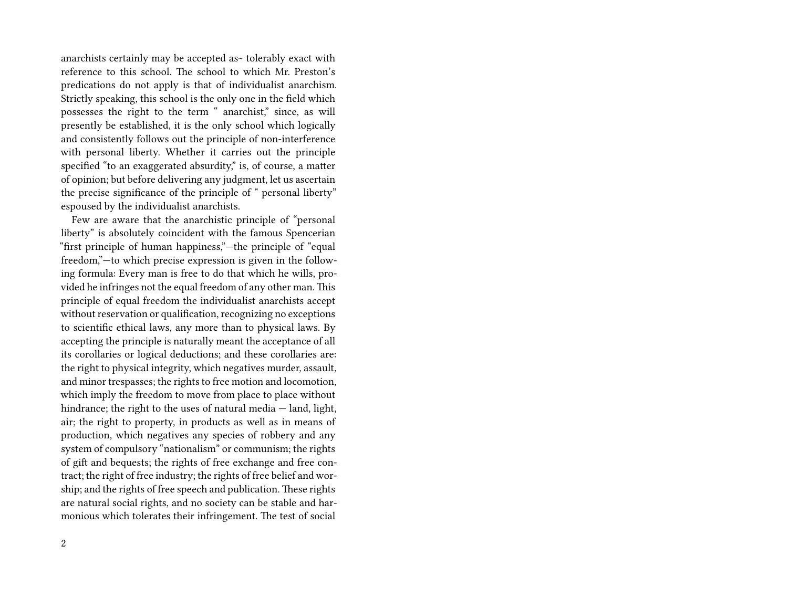anarchists certainly may be accepted as~ tolerably exact with reference to this school. The school to which Mr. Preston's predications do not apply is that of individualist anarchism. Strictly speaking, this school is the only one in the field which possesses the right to the term " anarchist," since, as will presently be established, it is the only school which logically and consistently follows out the principle of non-interference with personal liberty. Whether it carries out the principle specified "to an exaggerated absurdity," is, of course, a matter of opinion; but before delivering any judgment, let us ascertain the precise significance of the principle of " personal liberty" espoused by the individualist anarchists.

Few are aware that the anarchistic principle of "personal liberty" is absolutely coincident with the famous Spencerian "first principle of human happiness,"—the principle of "equal freedom,"—to which precise expression is given in the following formula: Every man is free to do that which he wills, provided he infringes not the equal freedom of any other man. This principle of equal freedom the individualist anarchists accept without reservation or qualification, recognizing no exceptions to scientific ethical laws, any more than to physical laws. By accepting the principle is naturally meant the acceptance of all its corollaries or logical deductions; and these corollaries are: the right to physical integrity, which negatives murder, assault, and minor trespasses; the rights to free motion and locomotion, which imply the freedom to move from place to place without hindrance; the right to the uses of natural media — land, light, air; the right to property, in products as well as in means of production, which negatives any species of robbery and any system of compulsory "nationalism" or communism; the rights of gift and bequests; the rights of free exchange and free contract; the right of free industry; the rights of free belief and worship; and the rights of free speech and publication. These rights are natural social rights, and no society can be stable and harmonious which tolerates their infringement. The test of social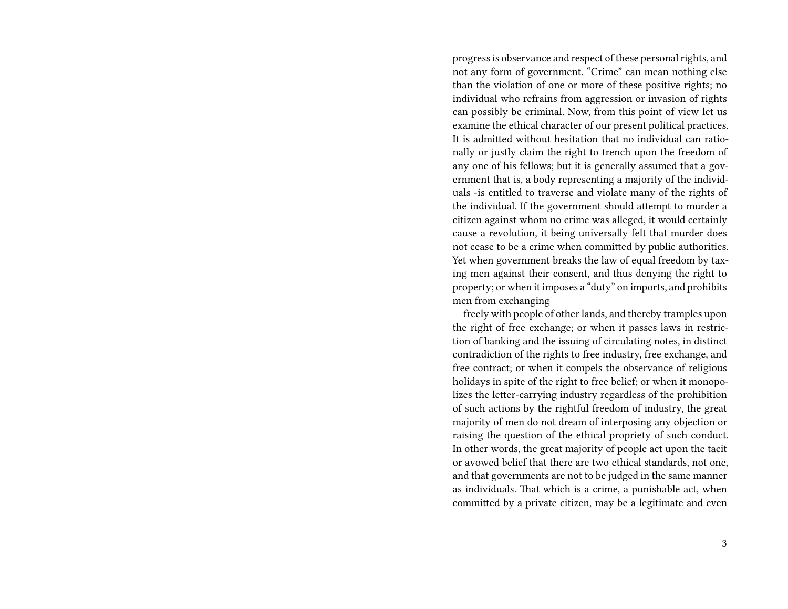progress is observance and respect of these personal rights, and not any form of government. "Crime" can mean nothing else than the violation of one or more of these positive rights; no individual who refrains from aggression or invasion of rights can possibly be criminal. Now, from this point of view let us examine the ethical character of our present political practices. It is admitted without hesitation that no individual can rationally or justly claim the right to trench upon the freedom of any one of his fellows; but it is generally assumed that a government that is, a body representing a majority of the individuals -is entitled to traverse and violate many of the rights of the individual. If the government should attempt to murder a citizen against whom no crime was alleged, it would certainly cause a revolution, it being universally felt that murder does not cease to be a crime when committed by public authorities. Yet when government breaks the law of equal freedom by taxing men against their consent, and thus denying the right to property; or when it imposes a "duty" on imports, and prohibits men from exchanging

freely with people of other lands, and thereby tramples upon the right of free exchange; or when it passes laws in restriction of banking and the issuing of circulating notes, in distinct contradiction of the rights to free industry, free exchange, and free contract; or when it compels the observance of religious holidays in spite of the right to free belief; or when it monopolizes the letter-carrying industry regardless of the prohibition of such actions by the rightful freedom of industry, the great majority of men do not dream of interposing any objection or raising the question of the ethical propriety of such conduct. In other words, the great majority of people act upon the tacit or avowed belief that there are two ethical standards, not one, and that governments are not to be judged in the same manner as individuals. That which is a crime, a punishable act, when committed by a private citizen, may be a legitimate and even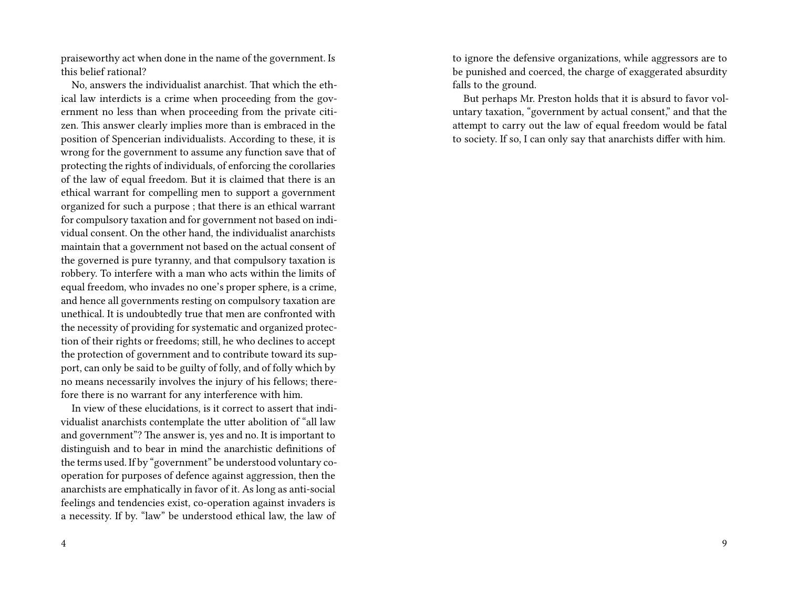praiseworthy act when done in the name of the government. Is this belief rational?

No, answers the individualist anarchist. That which the ethical law interdicts is a crime when proceeding from the government no less than when proceeding from the private citizen. This answer clearly implies more than is embraced in the position of Spencerian individualists. According to these, it is wrong for the government to assume any function save that of protecting the rights of individuals, of enforcing the corollaries of the law of equal freedom. But it is claimed that there is an ethical warrant for compelling men to support a government organized for such a purpose ; that there is an ethical warrant for compulsory taxation and for government not based on individual consent. On the other hand, the individualist anarchists maintain that a government not based on the actual consent of the governed is pure tyranny, and that compulsory taxation is robbery. To interfere with a man who acts within the limits of equal freedom, who invades no one's proper sphere, is a crime, and hence all governments resting on compulsory taxation are unethical. It is undoubtedly true that men are confronted with the necessity of providing for systematic and organized protection of their rights or freedoms; still, he who declines to accept the protection of government and to contribute toward its support, can only be said to be guilty of folly, and of folly which by no means necessarily involves the injury of his fellows; therefore there is no warrant for any interference with him.

In view of these elucidations, is it correct to assert that individualist anarchists contemplate the utter abolition of "all law and government"? The answer is, yes and no. It is important to distinguish and to bear in mind the anarchistic definitions of the terms used. If by "government" be understood voluntary cooperation for purposes of defence against aggression, then the anarchists are emphatically in favor of it. As long as anti-social feelings and tendencies exist, co-operation against invaders is a necessity. If by. "law" be understood ethical law, the law of to ignore the defensive organizations, while aggressors are to be punished and coerced, the charge of exaggerated absurdity falls to the ground.

But perhaps Mr. Preston holds that it is absurd to favor voluntary taxation, "government by actual consent," and that the attempt to carry out the law of equal freedom would be fatal to society. If so, I can only say that anarchists differ with him.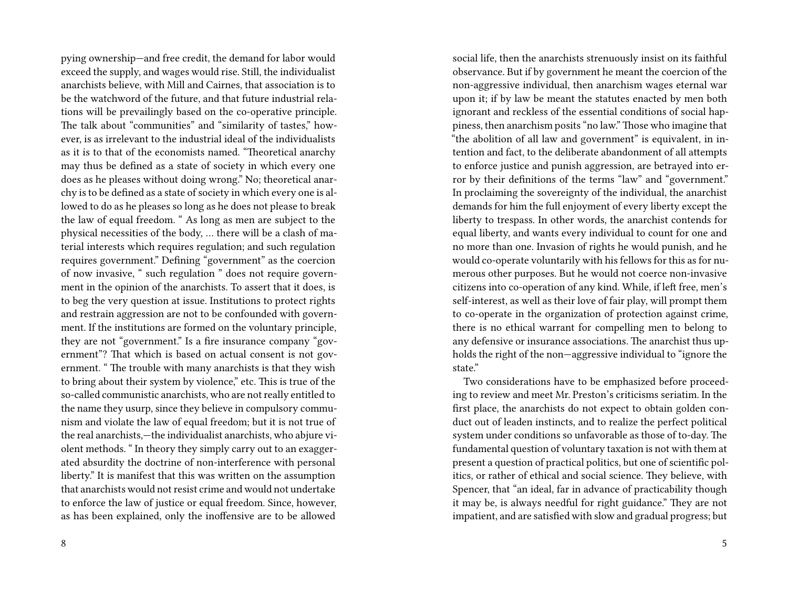pying ownership—and free credit, the demand for labor would exceed the supply, and wages would rise. Still, the individualist anarchists believe, with Mill and Cairnes, that association is to be the watchword of the future, and that future industrial relations will be prevailingly based on the co-operative principle. The talk about "communities" and "similarity of tastes," however, is as irrelevant to the industrial ideal of the individualists as it is to that of the economists named. "Theoretical anarchy may thus be defined as a state of society in which every one does as he pleases without doing wrong." No; theoretical anarchy is to be defined as a state of society in which every one is allowed to do as he pleases so long as he does not please to break the law of equal freedom. " As long as men are subject to the physical necessities of the body, … there will be a clash of material interests which requires regulation; and such regulation requires government." Defining "government" as the coercion of now invasive, " such regulation " does not require government in the opinion of the anarchists. To assert that it does, is to beg the very question at issue. Institutions to protect rights and restrain aggression are not to be confounded with government. If the institutions are formed on the voluntary principle, they are not "government." Is a fire insurance company "government"? That which is based on actual consent is not government. " The trouble with many anarchists is that they wish to bring about their system by violence," etc. This is true of the so-called communistic anarchists, who are not really entitled to the name they usurp, since they believe in compulsory communism and violate the law of equal freedom; but it is not true of the real anarchists,—the individualist anarchists, who abjure violent methods. " In theory they simply carry out to an exaggerated absurdity the doctrine of non-interference with personal liberty." It is manifest that this was written on the assumption that anarchists would not resist crime and would not undertake to enforce the law of justice or equal freedom. Since, however, as has been explained, only the inoffensive are to be allowed

social life, then the anarchists strenuously insist on its faithful observance. But if by government he meant the coercion of the non-aggressive individual, then anarchism wages eternal war upon it; if by law be meant the statutes enacted by men both ignorant and reckless of the essential conditions of social happiness, then anarchism posits "no law." Those who imagine that "the abolition of all law and government" is equivalent, in intention and fact, to the deliberate abandonment of all attempts to enforce justice and punish aggression, are betrayed into error by their definitions of the terms "law" and "government." In proclaiming the sovereignty of the individual, the anarchist demands for him the full enjoyment of every liberty except the liberty to trespass. In other words, the anarchist contends for equal liberty, and wants every individual to count for one and no more than one. Invasion of rights he would punish, and he would co-operate voluntarily with his fellows for this as for numerous other purposes. But he would not coerce non-invasive citizens into co-operation of any kind. While, if left free, men's self-interest, as well as their love of fair play, will prompt them to co-operate in the organization of protection against crime, there is no ethical warrant for compelling men to belong to any defensive or insurance associations. The anarchist thus upholds the right of the non—aggressive individual to "ignore the state."

Two considerations have to be emphasized before proceeding to review and meet Mr. Preston's criticisms seriatim. In the first place, the anarchists do not expect to obtain golden conduct out of leaden instincts, and to realize the perfect political system under conditions so unfavorable as those of to-day. The fundamental question of voluntary taxation is not with them at present a question of practical politics, but one of scientific politics, or rather of ethical and social science. They believe, with Spencer, that "an ideal, far in advance of practicability though it may be, is always needful for right guidance." They are not impatient, and are satisfied with slow and gradual progress; but